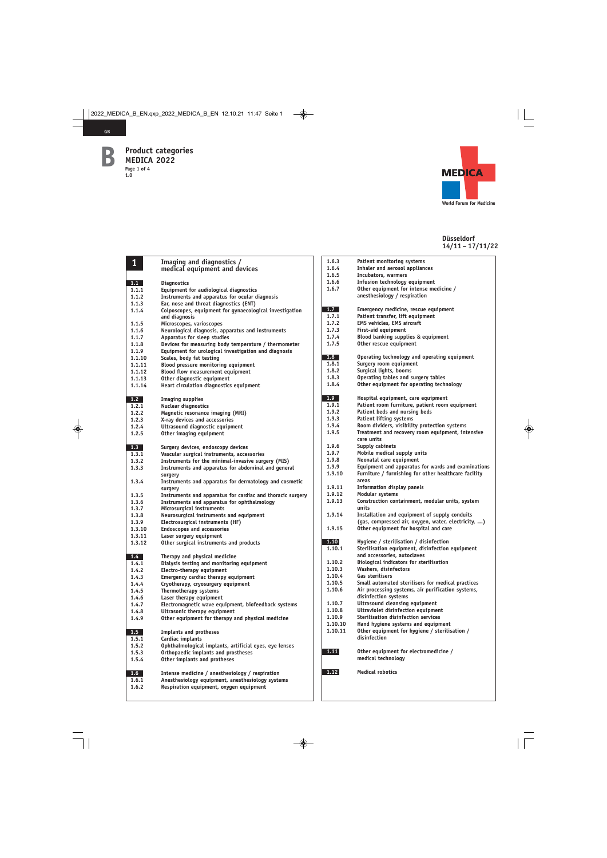**GB**

**B**



| $\mathbf{1}$ | Imaging and diagnostics /                                  | 1.6.3   | Patient monitoring systems                |
|--------------|------------------------------------------------------------|---------|-------------------------------------------|
|              | medical equipment and devices                              | 1.6.4   | Inhaler and aerosol appliand              |
|              |                                                            | 1.6.5   | Incubators, warmers                       |
| 1.1          | <b>Diagnostics</b>                                         | 1.6.6   | Infusion technology equipm                |
| 1.1.1        | Equipment for audiological diagnostics                     | 1.6.7   | Other equipment for intense               |
| 1.1.2        | Instruments and apparatus for ocular diagnosis             |         | anesthesiology / respiration              |
| 1.1.3        | Ear, nose and throat diagnostics (ENT)                     |         |                                           |
| 1.1.4        | Colposcopes, equipment for gynaecological investigation    | 1.7     | Emergency medicine, rescue                |
|              | and diagnosis                                              | 1.7.1   | Patient transfer, lift equipm             |
| 1.1.5        | Microscopes, varioscopes                                   | 1.7.2   | <b>EMS vehicles, EMS aircraft</b>         |
| 1.1.6        | Neurological diagnosis, apparatus and instruments          | 1.7.3   | <b>First-aid equipment</b>                |
| 1.1.7        | Apparatus for sleep studies                                | 1.7.4   | Blood banking supplies & ed               |
| 1.1.8        | Devices for measuring body temperature / thermometer       | 1.7.5   | Other rescue equipment                    |
| 1.1.9        | Equipment for urological investigation and diagnosis       |         |                                           |
| 1.1.10       | Scales, body fat testing                                   | 1.8     | Operating technology and of               |
| 1.1.11       | Blood pressure monitoring equipment                        | 1.8.1   | Surgery room equipment                    |
| 1.1.12       | <b>Blood flow measurement equipment</b>                    | 1.8.2   | Surgical lights, booms                    |
| 1.1.13       | Other diagnostic equipment                                 | 1.8.3   | Operating tables and surger               |
| 1.1.14       | Heart circulation diagnostics equipment                    | 1.8.4   | Other equipment for operation             |
| 1.2          | <b>Imaging supplies</b>                                    | 1.9     | Hospital equipment, care ed               |
| 1.2.1        | <b>Nuclear diagnostics</b>                                 | 1.9.1   | Patient room furniture, pati              |
| 1.2.2        | Magnetic resonance imaging (MRI)                           | 1.9.2   | Patient beds and nursing be               |
| 1.2.3        | X-ray devices and accessories                              | 1.9.3   | <b>Patient lifting systems</b>            |
| 1.2.4        | Ultrasound diagnostic equipment                            | 1.9.4   | Room dividers, visibility pro             |
| 1.2.5        | Other imaging equipment                                    | 1.9.5   | Treatment and recovery roor<br>care units |
| 1.3          | Surgery devices, endoscopy devices                         | 1.9.6   | Supply cabinets                           |
| 1.3.1        | Vascular surgical instruments, accessories                 | 1.9.7   | Mobile medical supply units               |
| 1.3.2        | Instruments for the minimal-invasive surgery (MIS)         | 1.9.8   | Neonatal care equipment                   |
| 1.3.3        | Instruments and apparatus for abdominal and general        | 1.9.9   | <b>Equipment and apparatus fo</b>         |
|              | surgery                                                    | 1.9.10  | Furniture / furnishing for of             |
| 1.3.4        | Instruments and apparatus for dermatology and cosmetic     |         | areas                                     |
|              | surgery                                                    | 1.9.11  | Information display panels                |
| 1.3.5        | Instruments and apparatus for cardiac and thoracic surgery | 1.9.12  | Modular systems                           |
| 1.3.6        | Instruments and apparatus for ophthalmology                | 1.9.13  | Construction containment, r               |
| 1.3.7        | Microsurgical instruments                                  |         | units                                     |
| 1.3.8        | Neurosurgical instruments and equipment                    | 1.9.14  | Installation and equipment                |
| 1.3.9        | Electrosurgical instruments (HF)                           |         | (gas, compressed air, oxyge               |
| 1.3.10       | <b>Endoscopes and accessories</b>                          | 1.9.15  | Other equipment for hospita               |
| 1.3.11       | Laser surgery equipment                                    |         |                                           |
| 1.3.12       | Other surgical instruments and products                    | 1.10    | Hygiene / sterilisation / dis             |
|              |                                                            | 1.10.1  | Sterilisation equipment, dis              |
| 1.4          | Therapy and physical medicine                              |         | and accessories, autoclaves               |
| 1.4.1        | Dialysis testing and monitoring equipment                  | 1.10.2  | <b>Biological indicators for ste</b>      |
| 1.4.2        | Electro-therapy equipment                                  | 1.10.3  | Washers, disinfectors                     |
| 1.4.3        | Emergency cardiac therapy equipment                        | 1.10.4  | Gas sterilisers                           |
| 1.4.4        | Cryotherapy, cryosurgery equipment                         | 1.10.5  | <b>Small automated sterilisers</b>        |
| 1.4.5        | Thermotherapy systems                                      | 1.10.6  | Air processing systems, air               |
| 1.4.6        | Laser therapy equipment                                    |         | disinfection systems                      |
| 1.4.7        | Electromagnetic wave equipment, biofeedback systems        | 1.10.7  | <b>Ultrasound cleansing equipr</b>        |
| 1.4.8        | Ultrasonic therapy equipment                               | 1.10.8  | Ultraviolet disinfection equ              |
| 1.4.9        | Other equipment for therapy and physical medicine          | 1.10.9  | Sterilisation disinfection se             |
|              |                                                            | 1.10.10 | Hand hygiene systems and $\epsilon$       |
| 1.5          | <b>Implants and protheses</b>                              | 1.10.11 | Other equipment for hygien                |
| 1.5.1        | Cardiac implants                                           |         | disinfection                              |
| 1.5.2        | Ophthalmological implants, artificial eyes, eye lenses     |         |                                           |
| 1.5.3        | Orthopaedic implants and prostheses                        | 1.11    | Other equipment for electro               |
| 1.5.4        | Other implants and protheses                               |         | medical technology                        |
| 1.6          | Intense medicine / anesthesiology / respiration            | 1.12    | <b>Medical robotics</b>                   |
| 1.6.1        | Anesthesiology equipment, anesthesiology systems           |         |                                           |
| 1.6.2        | Respiration equipment, oxygen equipment                    |         |                                           |

| 1.6.3   | <b>Patient monitoring systems</b>                                         |
|---------|---------------------------------------------------------------------------|
| 1.6.4   | <b>Inhaler and aerosol appliances</b>                                     |
| 1.6.5   | Incubators, warmers                                                       |
| 1.6.6   | Infusion technology equipment                                             |
|         |                                                                           |
| 1.6.7   | Other equipment for intense medicine /                                    |
|         | anesthesiology / respiration                                              |
|         |                                                                           |
| 1.7     | Emergency medicine, rescue equipment                                      |
| 1.7.1   | Patient transfer, lift equipment                                          |
| 1.7.2   | <b>EMS vehicles, EMS aircraft</b>                                         |
| 1.7.3   | <b>First-aid equipment</b>                                                |
| 1.7.4   | Blood banking supplies & equipment                                        |
| 1.7.5   | Other rescue equipment                                                    |
|         |                                                                           |
| 1.8     | Operating technology and operating equipment                              |
| 1.8.1   | Surgery room equipment                                                    |
| 1.8.2   | Surgical lights, booms                                                    |
| 1.8.3   | Operating tables and surgery tables                                       |
| 1.8.4   | Other equipment for operating technology                                  |
|         |                                                                           |
| 1.9     | Hospital equipment, care equipment                                        |
| 1.9.1   | Patient room furniture, patient room equipment                            |
| 1.9.2   | Patient beds and nursing beds                                             |
| 1.9.3   | <b>Patient lifting systems</b>                                            |
| 1.9.4   | Room dividers, visibility protection systems                              |
| 1.9.5   | Treatment and recovery room equipment, intensive                          |
|         | care units                                                                |
| 1.9.6   | Supply cabinets                                                           |
| 1.9.7   | Mobile medical supply units                                               |
| 1.9.8   | Neonatal care equipment                                                   |
|         |                                                                           |
| 1.9.9   | Equipment and apparatus for wards and examinations                        |
| 1.9.10  | Furniture / furnishing for other healthcare facility                      |
|         | areas                                                                     |
| 1.9.11  | <b>Information display panels</b>                                         |
| 1.9.12  | <b>Modular systems</b>                                                    |
| 1.9.13  | Construction containment, modular units, system<br>units                  |
|         |                                                                           |
| 1.9.14  | Installation and equipment of supply conduits                             |
|         | (gas, compressed air, oxygen, water, electricity, )                       |
| 1.9.15  | Other equipment for hospital and care                                     |
| 1.10    | Hygiene / sterilisation / disinfection                                    |
| 1.10.1  | Sterilisation equipment, disinfection equipment                           |
|         | and accessories, autoclaves                                               |
| 1.10.2  | <b>Biological indicators for sterilisation</b>                            |
| 1.10.3  | Washers, disinfectors                                                     |
|         |                                                                           |
| 1.10.4  | Gas sterilisers                                                           |
| 1.10.5  | Small automated sterilisers for medical practices                         |
| 1.10.6  | Air processing systems, air purification systems,<br>disinfection systems |
| 1.10.7  | <b>Ultrasound cleansing equipment</b>                                     |
|         |                                                                           |
| 1.10.8  | <b>Ultraviolet disinfection equipment</b>                                 |
| 1.10.9  | Sterilisation disinfection services                                       |
| 1.10.10 | Hand hygiene systems and equipment                                        |
| 1.10.11 | Other equipment for hygiene / sterilisation /<br>disinfection             |
| 1.11    | Other equipment for electromedicine /                                     |
|         | medical technology                                                        |
| 1.12    | <b>Medical robotics</b>                                                   |
|         |                                                                           |
|         |                                                                           |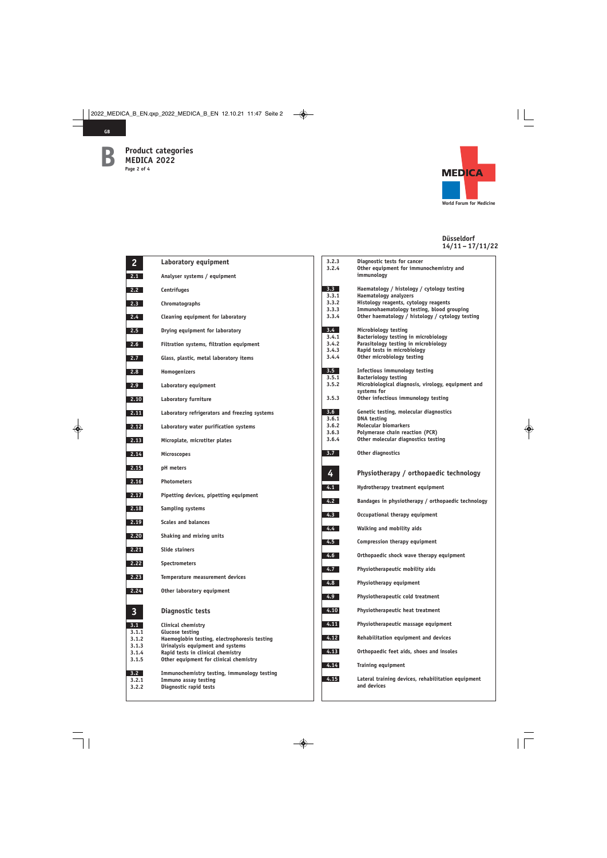**GB**



| 2                | Laboratory equipment                                                             |
|------------------|----------------------------------------------------------------------------------|
| 2.1              | Analyser systems / equipment                                                     |
| 2.2              | Centrifuges                                                                      |
| 2.3              | Chromatographs                                                                   |
| $2.4 -$          | Cleaning equipment for laboratory                                                |
| 2.5              | Drying equipment for laboratory                                                  |
| 2.6              | Filtration systems, filtration equipment                                         |
| 2.7 <sub>1</sub> | Glass, plastic, metal laboratory items                                           |
| 2.8              | Homogenizers                                                                     |
| 2.9              | Laboratory equipment                                                             |
| 2.10             | <b>Laboratory furniture</b>                                                      |
| 2.11             | Laboratory refrigerators and freezing systems                                    |
| 2.12             | Laboratory water purification systems                                            |
| 2.13             | Microplate, microtiter plates                                                    |
| 2.14             | <b>Microscopes</b>                                                               |
| 2.15             | pH meters                                                                        |
| 2.16             | <b>Photometers</b>                                                               |
| 2.17             | Pipetting devices, pipetting equipment                                           |
| 2.18             | Sampling systems                                                                 |
| 2.19             | <b>Scales and balances</b>                                                       |
| 2.20             | Shaking and mixing units                                                         |
| 2.21             | <b>Slide stainers</b>                                                            |
| 2.22             | <b>Spectrometers</b>                                                             |
| 2.23             | Temperature measurement devices                                                  |
| 2.24             | Other laboratory equipment                                                       |
| 3                | Diagnostic tests                                                                 |
| 3.1              | Clinical chemistry                                                               |
| 3.1.1<br>3.1.2   | <b>Glucose testing</b>                                                           |
| 3.1.3            | Haemoglobin testing, electrophoresis testing<br>Urinalysis equipment and systems |
| 3.1.4            | Rapid tests in clinical chemistry                                                |
| 3.1.5            | Other equipment for clinical chemistry                                           |
| 3.2<br>3.2.1     | Immunochemistry testing, immunology testing                                      |
| 3.2.2            | Immuno assay testing<br>Diagnostic rapid tests                                   |
|                  |                                                                                  |

| 3.2.3          | Diagnostic tests for cancer                                         |
|----------------|---------------------------------------------------------------------|
| 3.2.4          | Other equipment for immunochemistry and<br>immunology               |
|                |                                                                     |
| 3.3<br>3.3.1   | Haematology / histology / cytology testing<br>Haematology analyzers |
| 3.3.2          | Histology reagents, cytology reagents                               |
| 3.3.3          | Immunohaematology testing, blood grouping                           |
| 3.3.4          | Other haematology / histology / cytology testing                    |
|                |                                                                     |
| $3.4 -$        | Microbiology testing                                                |
| 3.4.1          | Bacteriology testing in microbiology                                |
| 3.4.2          | Parasitology testing in microbiology                                |
| 3.4.3          | Rapid tests in microbiology<br>Other microbiology testing           |
| 3.4.4          |                                                                     |
| 3.5            | Infectious immunology testing                                       |
| 3.5.1          | <b>Bacteriology testing</b>                                         |
| 3.5.2          | Microbiological diagnosis, virology, equipment and                  |
|                | systems for                                                         |
| 3.5.3          | Other infectious immunology testing                                 |
| 3.6            | Genetic testing, molecular diagnostics                              |
| 3.6.1          | <b>DNA</b> testing                                                  |
| 3.6.2          | Molecular biomarkers                                                |
| 3.6.3<br>3.6.4 | Polymerase chain reaction (PCR)                                     |
|                | Other molecular diagnostics testing                                 |
| 3.7            | Other diagnostics                                                   |
|                |                                                                     |
| 4              | Physiotherapy / orthopaedic technology                              |
|                |                                                                     |
| 4.1            | Hydrotherapy treatment equipment                                    |
| 4.2            | Bandages in physiotherapy / orthopaedic technology                  |
| 4.3            | Occupational therapy equipment                                      |
| $4.4 -$        | Walking and mobility aids                                           |
|                |                                                                     |
| 4.5            | Compression therapy equipment                                       |
| 4.6            | Orthopaedic shock wave therapy equipment                            |
| $4.7-$         | Physiotherapeutic mobility aids                                     |
| 4.8            | Physiotherapy equipment                                             |
| $4.9-1$        | Physiotherapeutic cold treatment                                    |
| 4.10           | Physiotherapeutic heat treatment                                    |
| 4.11           | Physiotherapeutic massage equipment                                 |
| 4.12           | Rehabilitation equipment and devices                                |
| 4.13           | Orthopaedic feet aids, shoes and insoles                            |
| 4.14           | <b>Training equipment</b>                                           |
| 4.15           |                                                                     |
|                | Lateral training devices, rehabilitation equipment<br>and devices   |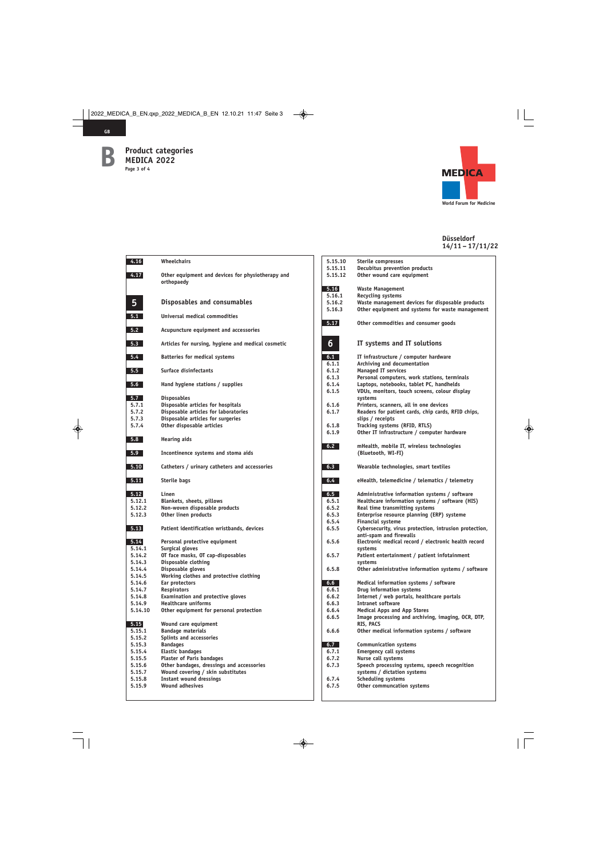

**GB**



| 4.16    | Wheelchairs                                        |
|---------|----------------------------------------------------|
| 4.17    | Other equipment and devices for physiotherapy and  |
|         | orthopaedy                                         |
|         |                                                    |
| 5       | Disposables and consumables                        |
| 5.1     | Universal medical commodities                      |
|         |                                                    |
| 5.2     | Acupuncture equipment and accessories              |
| 5.3     | Articles for nursing, hygiene and medical cosmetic |
| 5.4     | <b>Batteries for medical systems</b>               |
| 5.5     | Surface disinfectants                              |
| 5.6     | Hand hygiene stations / supplies                   |
| 5.7     | <b>Disposables</b>                                 |
| 5.7.1   | Disposable articles for hospitals                  |
| 5.7.2   | Disposable articles for laboratories               |
| 5.7.3   | Disposable articles for surgeries                  |
| 5.7.4   | Other disposable articles                          |
| 5.8     | <b>Hearing aids</b>                                |
| 5.9     | Incontinence systems and stoma aids                |
| 5.10    | Catheters / urinary catheters and accessories      |
| 5.11    | Sterile bags                                       |
| 5.12    | Linen                                              |
| 5.12.1  | Blankets, sheets, pillows                          |
| 5.12.2  | Non-woven disposable products                      |
| 5.12.3  | Other linen products                               |
| 5.13    | Patient identification wristbands, devices         |
| 5.14    | Personal protective equipment                      |
| 5.14.1  | <b>Surgical gloves</b>                             |
| 5.14.2  | OT face masks, OT cap-disposables                  |
| 5.14.3  | Disposable clothing                                |
| 5.14.4  | Disposable gloves                                  |
| 5.14.5  | Working clothes and protective clothing            |
| 5.14.6  | Ear protectors                                     |
| 5.14.7  | Respirators                                        |
| 5.14.8  | <b>Examination and protective gloves</b>           |
| 5.14.9  |                                                    |
| 5.14.10 | <b>Healthcare uniforms</b>                         |
|         | Other equipment for personal protection            |
| 5.15    | Wound care equipment                               |
| 5.15.1  | <b>Bandage materials</b>                           |
| 5.15.2  | Splints and accessories                            |
| 5.15.3  | <b>Bandages</b>                                    |
| 5.15.4  | <b>Elastic bandages</b>                            |
| 5.15.5  | <b>Plaster of Paris bandages</b>                   |
| 5.15.6  | Other bandages, dressings and accessories          |
| 5.15.7  | Wound covering / skin substitutes                  |
| 5.15.8  | <b>Instant wound dressings</b>                     |
| 5.15.9  | <b>Wound adhesives</b>                             |

| 5.15.10 | Sterile compresses                                                           |
|---------|------------------------------------------------------------------------------|
| 5.15.11 | <b>Decubitus prevention products</b>                                         |
| 5.15.12 | Other wound care equipment                                                   |
|         |                                                                              |
| 5.16    | <b>Waste Management</b>                                                      |
| 5.16.1  | <b>Recycling systems</b>                                                     |
| 5.16.2  | Waste management devices for disposable products                             |
| 5.16.3  | Other equipment and systems for waste management                             |
| 5.17    | Other commodities and consumer goods                                         |
| 6       | IT systems and IT solutions                                                  |
| 6.1     | IT infrastructure / computer hardware                                        |
| 6.1.1   | Archiving and documentation                                                  |
| 6.1.2   | <b>Managed IT services</b>                                                   |
| 6.1.3   | Personal computers, work stations, terminals                                 |
| 6.1.4   | Laptops, notebooks, tablet PC, handhelds                                     |
| 6.1.5   | VDUs, monitors, touch screens, colour display                                |
|         | systems                                                                      |
| 6.1.6   | Printers, scanners, all in one devices                                       |
| 6.1.7   | Readers for patient cards, chip cards, RFID chips,<br>slips / receipts       |
|         |                                                                              |
| 6.1.8   | Tracking systems (RFID, RTLS)<br>Other IT infrastructure / computer hardware |
| 6.1.9   |                                                                              |
| 6.2     | mHealth, mobile IT, wireless technologies<br>(Bluetooth, WI-FI)              |
| 6.3     | Wearable technologies, smart textiles                                        |
| 6.4     | eHealth, telemedicine / telematics / telemetry                               |
| 6.5     | Administrative information systems / software                                |
| 6.5.1   | Healthcare information systems / software (HIS)                              |
| 6.5.2   | Real time transmitting systems                                               |
| 6.5.3   | Enterprise resource planning (ERP) systeme                                   |
| 6.5.4   | <b>Financial systeme</b>                                                     |
| 6.5.5   | Cybersecurity, virus protection, intrusion protection,                       |
|         | anti-spam and firewalls                                                      |
| 6.5.6   | Electronic medical record / electronic health record                         |
|         | systems                                                                      |
| 6.5.7   | Patient entertainment / patient infotainment                                 |
|         | systems                                                                      |
| 6.5.8   | Other administrative information systems / software                          |
| 6.6     | Medical information systems / software                                       |
| 6.6.1   | Drug information systems                                                     |
| 6.6.2   | Internet / web portals, healthcare portals                                   |
| 6.6.3   | <b>Intranet software</b>                                                     |
| 6.6.4   | <b>Medical Apps and App Stores</b>                                           |
| 6.6.5   | Image processing and archiving, imaging, OCR, DTP,                           |
|         | RIS, PACS                                                                    |
| 6.6.6   | Other medical information systems / software                                 |
| 6.7     | <b>Communication systems</b>                                                 |
| 6.7.1   | <b>Emergency call systems</b>                                                |
| 6.7.2   | Nurse call systems                                                           |
| 6.7.3   | Speech processing systems, speech recognition                                |
|         | systems / dictation systems                                                  |
| 6.7.4   | <b>Scheduling systems</b>                                                    |
| 6.7.5   | Other communcation systems                                                   |
|         |                                                                              |